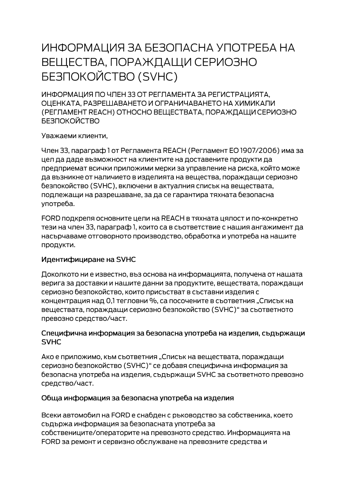# ИНФОРМАЦИЯ ЗА БЕЗОПАСНА УПОТРЕБА НА ВЕЩЕСТВА, ПОРАЖДАЩИ СЕРИОЗНО **БЕЗПОКОЙСТВО (SVHC)**

ИНФОРМАЦИЯ ПО ЧЛЕН 33 ОТ РЕГЛАМЕНТА ЗА РЕГИСТРАЦИЯТА. ОЦЕНКАТА, РАЗРЕШАВАНЕТО И ОГРАНИЧАВАНЕТО НА ХИМИКАЛИ (РЕГЛАМЕНТ REACH) ОТНОСНО ВЕЩЕСТВАТА, ПОРАЖДАЩИ СЕРИОЗНО **БЕЗПОКОЙСТВО** 

Уважаеми клиенти,

Член 33, параграф 1 от Регламента REACH (Регламент ЕО 1907/2006) има за цел да даде възможност на клиентите на доставените продукти да предприемат всички приложими мерки за управление на риска, който може да възникне от наличието в изделията на вещества, пораждащи сериозно безпокойство (SVHC), включени в актуалния списък на веществата, подлежащи на разрешаване, за да се гарантира тяхната безопасна употреба.

FORD подкрепя основните цели на REACH в тяхната цялост и по-конкретно тези на член 33, параграф 1, които са в съответствие с нашия ангажимент да насърчаваме отговорното производство, обработка и употреба на нашите продукти.

## Идентифициране на SVHC

Доколкото ни е известно, въз основа на информацията, получена от нашата верига за доставки и нашите данни за продуктите, веществата, пораждащи сериозно безпокойство, които присъстват в съставни изделия с концентрация над 0,1 тегловни %, са посочените в съответния "Списък на веществата, пораждащи сериозно безпокойство (SVHC)" за съответното превозно средство/част.

#### Специфична информация за безопасна употреба на изделия, съдържащи **SVHC**

Ако е приложимо, към съответния "Списък на веществата, пораждащи сериозно безпокойство (SVHC)" се добавя специфична информация за безопасна употреба на изделия, съдържащи SVHC за съответното превозно средство/част.

## Обща информация за безопасна употреба на изделия

Всеки автомобил на FORD е снабден с ръководство за собственика, което съдържа информация за безопасната употреба за собствениците/операторите на превозното средство. Информацията на FORD за ремонт и сервизно обслужване на превозните средства и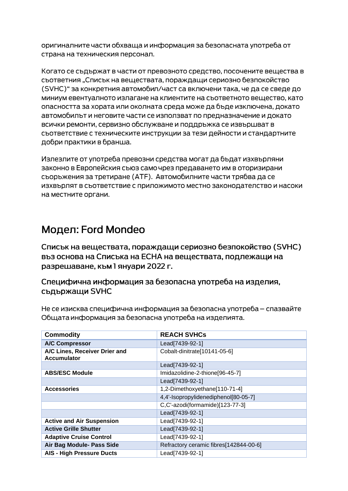оригиналните части обхваща и информация за безопасната употреба от страна на техническия персонал.

Когато се съдържат в части от превозното средство, посочените вещества в сьответния "Списък на вешествата, пораждащи сериозно безпокойство (SVHC)" за конкретния автомобил/част са включени така, че да се сведе до миниум евентуалното излагане на клиентите на съответното вещество, като опасността за хората или околната среда може да бъде изключена, докато автомобилът и неговите части се използват по предназначение и докато всички ремонти, сервизно обслужване и поддръжка се извършват в съответствие с техническите инструкции за тези дейности и стандартните добри практики в бранша.

Излезлите от употреба превозни средства могат да бъдат изхвърляни законно в Европейския съюз само чрез предаването им в оторизирани сьоръжения за третиране (АТЕ). Автомобилните части трябва да се изхвърлят в съответствие с приложимото местно законодателство и насоки на местните органи.

# Модел: Ford Mondeo

Списък на веществата, пораждащи сериозно безпокойство (SVHC) въз основа на Списъка на ЕСНА на веществата, подлежащи на разрешаване, към 1 януари 2022 г.

Специфична информация за безопасна употреба на изделия, съдържащи SVHC

Не се изисква специфична информация за безопасна употреба – спазвайте Общата информация за безопасна употреба на изделията.

| <b>Commodity</b>                                    | <b>REACH SVHCs</b>                     |
|-----------------------------------------------------|----------------------------------------|
| <b>A/C Compressor</b>                               | Lead[7439-92-1]                        |
| A/C Lines, Receiver Drier and<br><b>Accumulator</b> | Cobalt-dinitrate[10141-05-6]           |
|                                                     | Lead[7439-92-1]                        |
| <b>ABS/ESC Module</b>                               | Imidazolidine-2-thione[96-45-7]        |
|                                                     | Lead[7439-92-1]                        |
| <b>Accessories</b>                                  | 1,2-Dimethoxyethane[110-71-4]          |
|                                                     | 4,4'-Isopropylidenediphenol[80-05-7]   |
|                                                     | C,C'-azodi(formamide)[123-77-3]        |
|                                                     | Lead[7439-92-1]                        |
| <b>Active and Air Suspension</b>                    | Lead[7439-92-1]                        |
| <b>Active Grille Shutter</b>                        | Lead[7439-92-1]                        |
| <b>Adaptive Cruise Control</b>                      | Lead[7439-92-1]                        |
| Air Bag Module- Pass Side                           | Refractory ceramic fibres[142844-00-6] |
| <b>AIS - High Pressure Ducts</b>                    | Lead[7439-92-1]                        |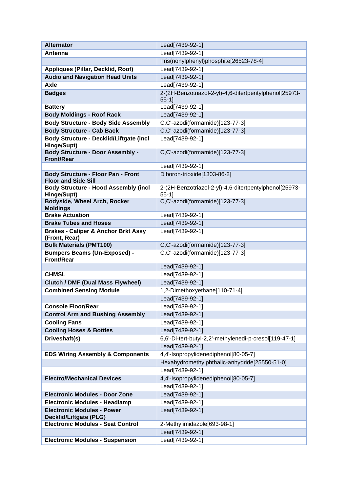| <b>Alternator</b>                                        | Lead[7439-92-1]                                                    |
|----------------------------------------------------------|--------------------------------------------------------------------|
| Antenna                                                  | Lead[7439-92-1]                                                    |
|                                                          | Tris(nonylphenyl)phosphite[26523-78-4]                             |
| Appliques (Pillar, Decklid, Roof)                        | Lead[7439-92-1]                                                    |
| <b>Audio and Navigation Head Units</b>                   | Lead[7439-92-1]                                                    |
| <b>Axle</b>                                              | Lead[7439-92-1]                                                    |
| <b>Badges</b>                                            | 2-(2H-Benzotriazol-2-yl)-4,6-ditertpentylphenol[25973-             |
|                                                          | $55-1$ ]                                                           |
| <b>Battery</b>                                           | Lead[7439-92-1]                                                    |
| <b>Body Moldings - Roof Rack</b>                         | Lead[7439-92-1]                                                    |
| <b>Body Structure - Body Side Assembly</b>               | C,C'-azodi(formamide)[123-77-3]                                    |
| <b>Body Structure - Cab Back</b>                         | C,C'-azodi(formamide)[123-77-3]                                    |
| <b>Body Structure - Decklid/Liftgate (incl</b>           | Lead[7439-92-1]                                                    |
| Hinge/Supt)                                              |                                                                    |
| <b>Body Structure - Door Assembly -</b>                  | C,C'-azodi(formamide)[123-77-3]                                    |
| <b>Front/Rear</b>                                        | Lead[7439-92-1]                                                    |
| <b>Body Structure - Floor Pan - Front</b>                | Diboron-trioxide[1303-86-2]                                        |
| <b>Floor and Side Sill</b>                               |                                                                    |
| <b>Body Structure - Hood Assembly (incl</b>              | 2-(2H-Benzotriazol-2-yl)-4,6-ditertpentylphenol[25973-             |
| Hinge/Supt)                                              | $55-1$ ]                                                           |
| Bodyside, Wheel Arch, Rocker                             | C,C'-azodi(formamide)[123-77-3]                                    |
| <b>Moldings</b><br><b>Brake Actuation</b>                | Lead[7439-92-1]                                                    |
| <b>Brake Tubes and Hoses</b>                             | Lead[7439-92-1]                                                    |
| <b>Brakes - Caliper &amp; Anchor Brkt Assy</b>           | Lead[7439-92-1]                                                    |
| (Front, Rear)                                            |                                                                    |
|                                                          |                                                                    |
|                                                          |                                                                    |
| <b>Bulk Materials (PMT100)</b>                           | C,C'-azodi(formamide)[123-77-3]<br>C,C'-azodi(formamide)[123-77-3] |
| <b>Bumpers Beams (Un-Exposed) -</b><br><b>Front/Rear</b> |                                                                    |
|                                                          | Lead[7439-92-1]                                                    |
| <b>CHMSL</b>                                             | Lead[7439-92-1]                                                    |
| <b>Clutch / DMF (Dual Mass Flywheel)</b>                 | Lead[7439-92-1]                                                    |
| <b>Combined Sensing Module</b>                           | 1,2-Dimethoxyethane[110-71-4]                                      |
|                                                          | Lead[7439-92-1]                                                    |
| <b>Console Floor/Rear</b>                                | Lead[7439-92-1]                                                    |
| <b>Control Arm and Bushing Assembly</b>                  | Lead[7439-92-1]                                                    |
| <b>Cooling Fans</b>                                      | Lead[7439-92-1]                                                    |
| <b>Cooling Hoses &amp; Bottles</b>                       | Lead[7439-92-1]                                                    |
| Driveshaft(s)                                            | 6,6'-Di-tert-butyl-2,2'-methylenedi-p-cresol[119-47-1]             |
|                                                          | Lead[7439-92-1]                                                    |
| <b>EDS Wiring Assembly &amp; Components</b>              | 4,4'-Isopropylidenediphenol[80-05-7]                               |
|                                                          | Hexahydromethylphthalic-anhydride[25550-51-0]                      |
|                                                          | Lead[7439-92-1]                                                    |
| <b>Electro/Mechanical Devices</b>                        | 4,4'-Isopropylidenediphenol[80-05-7]                               |
|                                                          | Lead[7439-92-1]                                                    |
| <b>Electronic Modules - Door Zone</b>                    | Lead[7439-92-1]                                                    |
| <b>Electronic Modules - Headlamp</b>                     | Lead[7439-92-1]                                                    |
| <b>Electronic Modules - Power</b>                        | Lead[7439-92-1]                                                    |
| <b>Decklid/Liftgate (PLG)</b>                            |                                                                    |
| <b>Electronic Modules - Seat Control</b>                 | 2-Methylimidazole[693-98-1]                                        |
| <b>Electronic Modules - Suspension</b>                   | Lead[7439-92-1]<br>Lead[7439-92-1]                                 |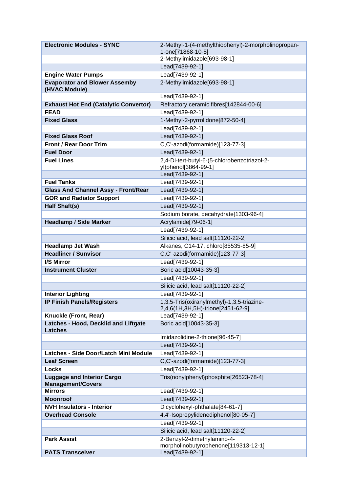| <b>Electronic Modules - SYNC</b>                              | 2-Methyl-1-(4-methylthiophenyl)-2-morpholinopropan- |
|---------------------------------------------------------------|-----------------------------------------------------|
|                                                               | 1-one[71868-10-5]                                   |
|                                                               | 2-Methylimidazole[693-98-1]                         |
| <b>Engine Water Pumps</b>                                     | Lead[7439-92-1]                                     |
| <b>Evaporator and Blower Assemby</b>                          | Lead[7439-92-1]<br>2-Methylimidazole[693-98-1]      |
| (HVAC Module)                                                 |                                                     |
|                                                               | Lead[7439-92-1]                                     |
| <b>Exhaust Hot End (Catalytic Convertor)</b>                  | Refractory ceramic fibres[142844-00-6]              |
| <b>FEAD</b>                                                   | Lead[7439-92-1]                                     |
| <b>Fixed Glass</b>                                            | 1-Methyl-2-pyrrolidone[872-50-4]                    |
|                                                               | Lead[7439-92-1]                                     |
| <b>Fixed Glass Roof</b>                                       | Lead[7439-92-1]                                     |
| <b>Front / Rear Door Trim</b>                                 | C,C'-azodi(formamide)[123-77-3]                     |
| <b>Fuel Door</b>                                              | Lead[7439-92-1]                                     |
| <b>Fuel Lines</b>                                             | 2,4-Di-tert-butyl-6-(5-chlorobenzotriazol-2-        |
|                                                               | yl)phenol[3864-99-1]<br>Lead[7439-92-1]             |
| <b>Fuel Tanks</b>                                             | Lead[7439-92-1]                                     |
| <b>Glass And Channel Assy - Front/Rear</b>                    | Lead[7439-92-1]                                     |
| <b>GOR and Radiator Support</b>                               | Lead[7439-92-1]                                     |
| <b>Half Shaft(s)</b>                                          | Lead[7439-92-1]                                     |
|                                                               | Sodium borate, decahydrate[1303-96-4]               |
| <b>Headlamp / Side Marker</b>                                 | Acrylamide[79-06-1]                                 |
|                                                               | Lead[7439-92-1]                                     |
|                                                               | Silicic acid, lead salt[11120-22-2]                 |
| <b>Headlamp Jet Wash</b>                                      | Alkanes, C14-17, chloro[85535-85-9]                 |
| <b>Headliner / Sunvisor</b>                                   | C,C'-azodi(formamide)[123-77-3]                     |
| I/S Mirror                                                    | Lead[7439-92-1]                                     |
| <b>Instrument Cluster</b>                                     | Boric acid[10043-35-3]                              |
|                                                               | Lead[7439-92-1]                                     |
|                                                               | Silicic acid, lead salt[11120-22-2]                 |
| <b>Interior Lighting</b>                                      | Lead[7439-92-1]                                     |
| <b>IP Finish Panels/Registers</b>                             | 1,3,5-Tris(oxiranylmethyl)-1,3,5-triazine-          |
|                                                               | 2,4,6(1H,3H,5H)-trione[2451-62-9]                   |
| Knuckle (Front, Rear)                                         | Lead[7439-92-1]                                     |
| Latches - Hood, Decklid and Liftgate<br><b>Latches</b>        | Boric acid[10043-35-3]                              |
|                                                               | Imidazolidine-2-thione[96-45-7]                     |
|                                                               | Lead[7439-92-1]                                     |
| Latches - Side Door/Latch Mini Module                         | Lead[7439-92-1]                                     |
| <b>Leaf Screen</b>                                            | C,C'-azodi(formamide)[123-77-3]                     |
| <b>Locks</b>                                                  | Lead[7439-92-1]                                     |
| <b>Luggage and Interior Cargo</b><br><b>Management/Covers</b> | Tris(nonylphenyl)phosphite[26523-78-4]              |
| <b>Mirrors</b>                                                | Lead[7439-92-1]                                     |
| <b>Moonroof</b>                                               | Lead[7439-92-1]                                     |
| <b>NVH Insulators - Interior</b>                              | Dicyclohexyl-phthalate[84-61-7]                     |
| <b>Overhead Console</b>                                       | 4,4'-Isopropylidenediphenol[80-05-7]                |
|                                                               | Lead[7439-92-1]                                     |
|                                                               | Silicic acid, lead salt[11120-22-2]                 |
| <b>Park Assist</b>                                            | 2-Benzyl-2-dimethylamino-4-                         |
|                                                               | morpholinobutyrophenone[119313-12-1]                |
| <b>PATS Transceiver</b>                                       | Lead[7439-92-1]                                     |